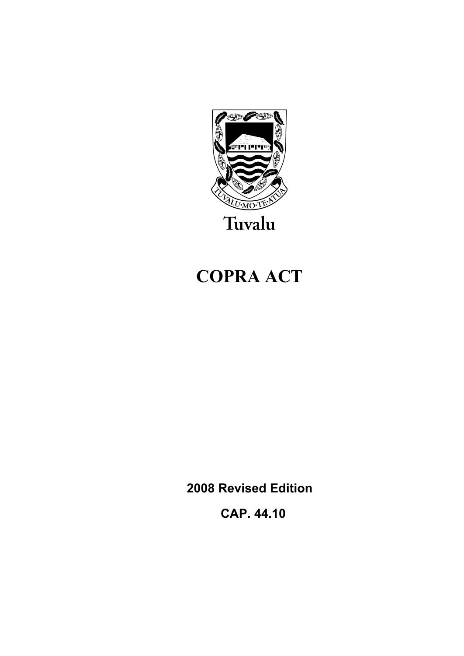

# **COPRA ACT**

**2008 Revised Edition** 

 **CAP. 44.10**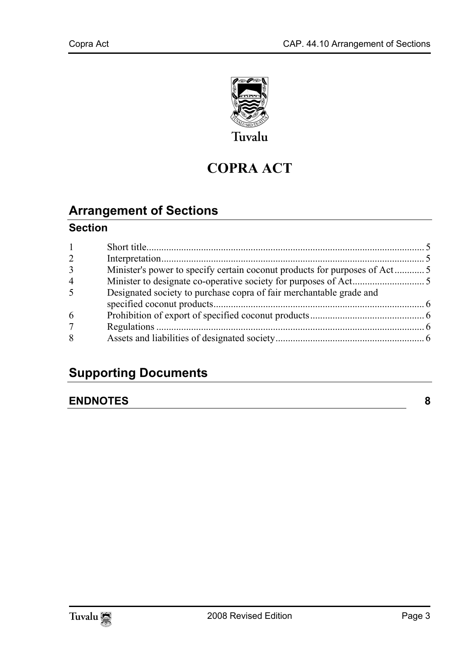

## **COPRA ACT**

## **Arrange[ment of Sections](#page-4-1)**

#### **Section**

| 2 |                                                                     |  |
|---|---------------------------------------------------------------------|--|
| 3 |                                                                     |  |
| 4 |                                                                     |  |
| 5 | Designated society to purchase copra of fair merchantable grade and |  |
| 6 |                                                                     |  |
|   |                                                                     |  |
| 8 |                                                                     |  |

### **Supporting Documents**

#### **ENDNOTES 8**

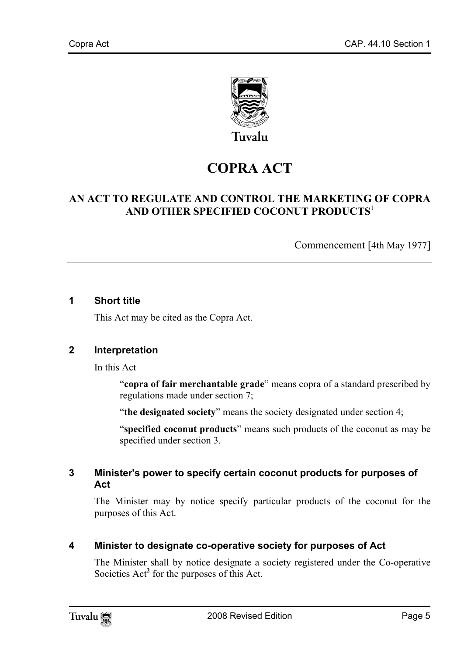

## **COPRA ACT**

#### **AN ACT TO REGULATE AND CONTROL THE MARKETING OF COPRA AND OTHER SPECIFIED COCONUT PRODUCTS**<sup>1</sup>

Commencement [4th May 1977]

#### **1 Short title**

<span id="page-4-0"></span>This Act may be cited as the Copra Act.

#### **2 Interpretation**

In this  $Act -$ 

"**copra of fair merchantable grade**" means copra of a standard prescribed by regulations made under section 7;

<span id="page-4-1"></span>"**the designated society**" means the society designated under section 4;

"**specified coconut products**" means such products of the coconut as may be specified under section 3.

#### **3 Minister's power to specify certain coconut products for purposes of Act**

The Minister may by notice specify particular products of the coconut for the purposes of this Act.

**4 Minister to designate co-operative society for purposes of Act** 

The Minister shall by notice designate a society registered under the Co-operative Societies Act<sup>2</sup> for the purposes of this Act.

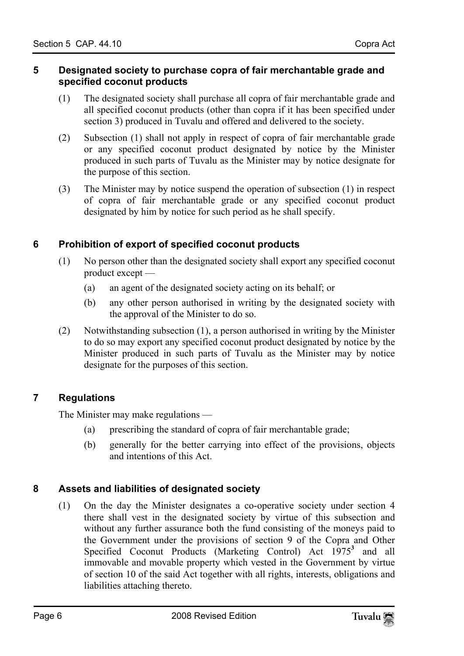#### <span id="page-5-0"></span>**5 Designated society to purchase copra of fair merchantable grade and specified coconut products**

- (1) The designated society shall purchase all copra of fair merchantable grade and all specified coconut products (other than copra if it has been specified under section 3) produced in Tuvalu and offered and delivered to the society.
- (2) Subsection (1) shall not apply in respect of copra of fair merchantable grade or any specified coconut product designated by notice by the Minister produced in such parts of Tuvalu as the Minister may by notice designate for the purpose of this section.
- <span id="page-5-1"></span>(3) The Minister may by notice suspend the operation of subsection (1) in respect of copra of fair merchantable grade or any specified coconut product designated by him by notice for such period as he shall specify.

#### **6 Prohibition of export of specified coconut products**

- (1) No person other than the designated society shall export any specified coconut product except —
	- (a) an agent of the designated society acting on its behalf; or
	- (b) any other person authorised in writing by the designated society with the approval of the Minister to do so.
- <span id="page-5-2"></span>(2) Notwithstanding subsection (1), a person authorised in writing by the Minister to do so may export any specified coconut product designated by notice by the Minister produced in such parts of Tuvalu as the Minister may by notice designate for the purposes of this section.

#### **7 Regulations**

The Minister may make regulations —

- <span id="page-5-3"></span>(a) prescribing the standard of copra of fair merchantable grade;
- (b) generally for the better carrying into effect of the provisions, objects and intentions of this Act.

#### **8 Assets and liabilities of designated society**

(1) On the day the Minister designates a co-operative society under section 4 there shall vest in the designated society by virtue of this subsection and without any further assurance both the fund consisting of the moneys paid to the Government under the provisions of section 9 of the Copra and Other Specified Coconut Products (Marketing Control) Act 1975<sup>3</sup> and all immovable and movable property which vested in the Government by virtue of section 10 of the said Act together with all rights, interests, obligations and liabilities attaching thereto.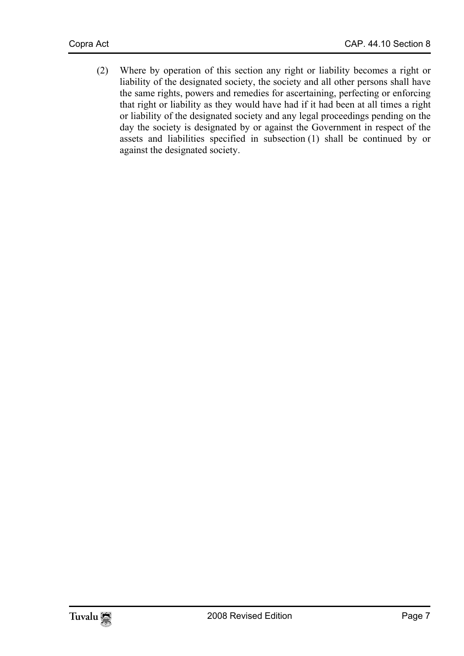(2) Where by operation of this section any right or liability becomes a right or liability of the designated society, the society and all other persons shall have the same rights, powers and remedies for ascertaining, perfecting or enforcing that right or liability as they would have had if it had been at all times a right or liability of the designated society and any legal proceedings pending on the day the society is designated by or against the Government in respect of the assets and liabilities specified in subsection (1) shall be continued by or against the designated society.